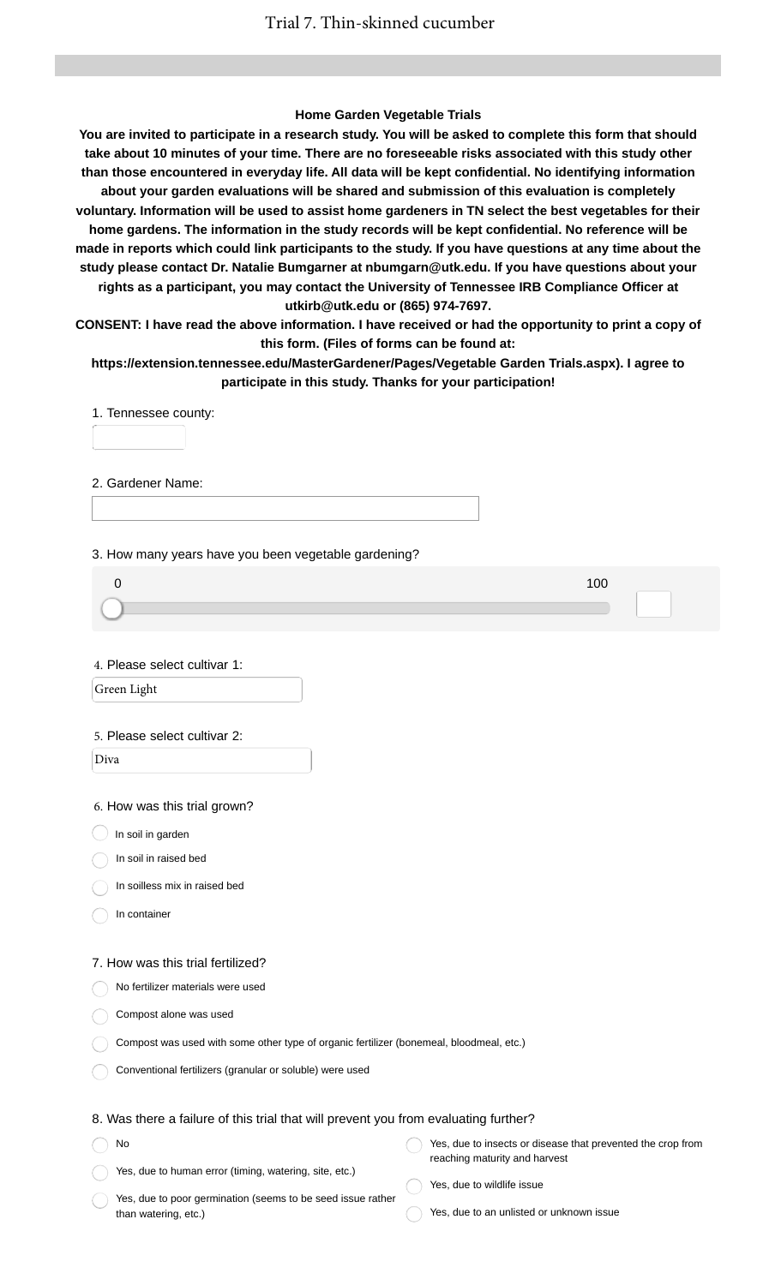#### **Home Garden Vegetable Trials**

**You are invited to participate in a research study. You will be asked to complete this form that should take about 10 minutes of your time. There are no foreseeable risks associated with this study other than those encountered in everyday life. All data will be kept confidential. No identifying information about your garden evaluations will be shared and submission of this evaluation is completely voluntary. Information will be used to assist home gardeners in TN select the best vegetables for their home gardens. The information in the study records will be kept confidential. No reference will be made in reports which could link participants to the study. If you have questions at any time about the study please contact Dr. Natalie Bumgarner at nbumgarn@utk.edu. If you have questions about your rights as a participant, you may contact the University of Tennessee IRB Compliance Officer at utkirb@utk.edu or (865) 974-7697.**

**CONSENT: I have read the above information. I have received or had the opportunity to print a copy of this form. (Files of forms can be found at:**

**https://extension.tennessee.edu/MasterGardener/Pages/Vegetable Garden Trials.aspx). I agree to participate in this study. Thanks for your participation!**

1. Tennessee county:

2. Gardener Name:

3. How many years have you been vegetable gardening?

4. Please select cultivar 1:

Green Light

#### 5. Please select cultivar 2:

Diva

6. How was this trial grown?

 $\bigcirc$  In soil in garden

In soil in raised bed

In soilless mix in raised bed

In container

No

#### 7. How was this trial fertilized?

No fertilizer materials were used

Compost alone was used

Compost was used with some other type of organic fertilizer (bonemeal, bloodmeal, etc.)

Conventional fertilizers (granular or soluble) were used

### 8. Was there a failure of this trial that will prevent you from evaluating further?

Yes, due to human error (timing, watering, site, etc.) Yes, due to insects or disease that prevented the crop from reaching maturity and harvest

Yes, due to poor germination (seems to be seed issue rather than watering, etc.)

Yes, due to wildlife issue

Yes, due to an unlisted or unknown issue